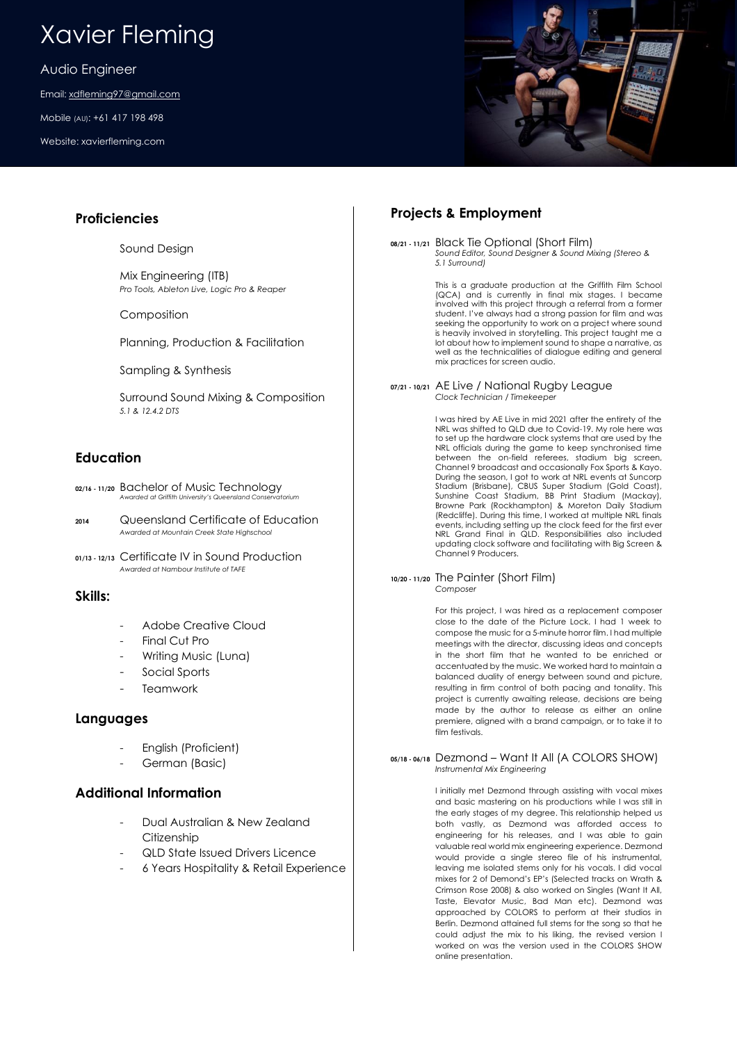## Xavier Fleming

Audio Engineer

Email: [xdfleming97@gmail.com](mailto:xdfleming97@gmail.com)

Mobile (AU): +61 417 198 498

Website: xavierfleming.com

## **Proficiencies**

Sound Design

Mix Engineering (ITB) *Pro Tools, Ableton Live, Logic Pro & Reaper*

Composition

Planning, Production & Facilitation

Sampling & Synthesis

Surround Sound Mixing & Composition *5.1 & 12.4.2 DTS*

## **Education**

- **02/16 - 11/20** Bachelor of Music Technology *Awarded at Griffith University's Queensland Conservatorium*
- **<sup>2014</sup>** Queensland Certificate of Education *Awarded at Mountain Creek State Highschool*
- **01/13 - 12/13** Certificate IV in Sound Production *Awarded at Nambour Institute of TAFE*

## **Skills:**

- Adobe Creative Cloud
- Final Cut Pro
- Writing Music (Luna)
- Social Sports
- **Teamwork**

## **Languages**

- English (Proficient)
- German (Basic)

## **Additional Information**

- Dual Australian & New Zealand **Citizenship**
- QLD State Issued Drivers Licence
- 6 Years Hospitality & Retail Experience

## **Projects & Employment**

**08/21 - 11/21** Black Tie Optional (Short Film) *Sound Editor, Sound Designer & Sound Mixing (Stereo & 5.1 Surround)*

> This is a graduate production at the Griffith Film School (QCA) and is currently in final mix stages. I became involved with this project through a referral from a former student. I've always had a strong passion for film and was seeking the opportunity to work on a project where sound is heavily involved in storytelling. This project taught me a lot about how to implement sound to shape a narrative, as well as the technicalities of dialogue editing and general mix practices for screen audio.

#### **07/21 - 10/21** AE Live / National Rugby League *Clock Technician / Timekeeper*

I was hired by AE Live in mid 2021 after the entirety of the NRL was shifted to QLD due to Covid-19. My role here was to set up the hardware clock systems that are used by the NRL officials during the game to keep synchronised time between the on-field referees, stadium big screen, Channel 9 broadcast and occasionally Fox Sports & Kayo. During the season, I got to work at NRL events at Suncorp Stadium (Brisbane), CBUS Super Stadium (Gold Coast), Sunshine Coast Stadium, BB Print Stadium (Mackay), Browne Park (Rockhampton) & Moreton Daily Stadium (Redcliffe). During this time, I worked at multiple NRL finals events, including setting up the clock feed for the first ever NRL Grand Final in QLD. Responsibilities also included updating clock software and facilitating with Big Screen & Channel 9 Producers.

### **10/20 - 11/20** The Painter (Short Film) *Composer*

For this project, I was hired as a replacement composer close to the date of the Picture Lock. I had 1 week to compose the music for a 5-minute horror film. I had multiple meetings with the director, discussing ideas and concepts in the short film that he wanted to be enriched or accentuated by the music. We worked hard to maintain a balanced duality of energy between sound and picture, resulting in firm control of both pacing and tonality. This project is currently awaiting release, decisions are being made by the author to release as either an online premiere, aligned with a brand campaign, or to take it to film festivals.

### **05/18 - 06/18** Dezmond – Want It All (A COLORS SHOW) *Instrumental Mix Engineering*

I initially met Dezmond through assisting with vocal mixes and basic mastering on his productions while I was still in the early stages of my degree. This relationship helped us both vastly, as Dezmond was afforded access to engineering for his releases, and I was able to gain valuable real world mix engineering experience. Dezmond would provide a single stereo file of his instrumental, leaving me isolated stems only for his vocals. I did vocal mixes for 2 of Demond's EP's (Selected tracks on Wrath & Crimson Rose 2008) & also worked on Singles (Want It All, Taste, Elevator Music, Bad Man etc). Dezmond was approached by COLORS to perform at their studios in Berlin. Dezmond attained full stems for the song so that he could adjust the mix to his liking, the revised version I worked on was the version used in the COLORS SHOW online presentation.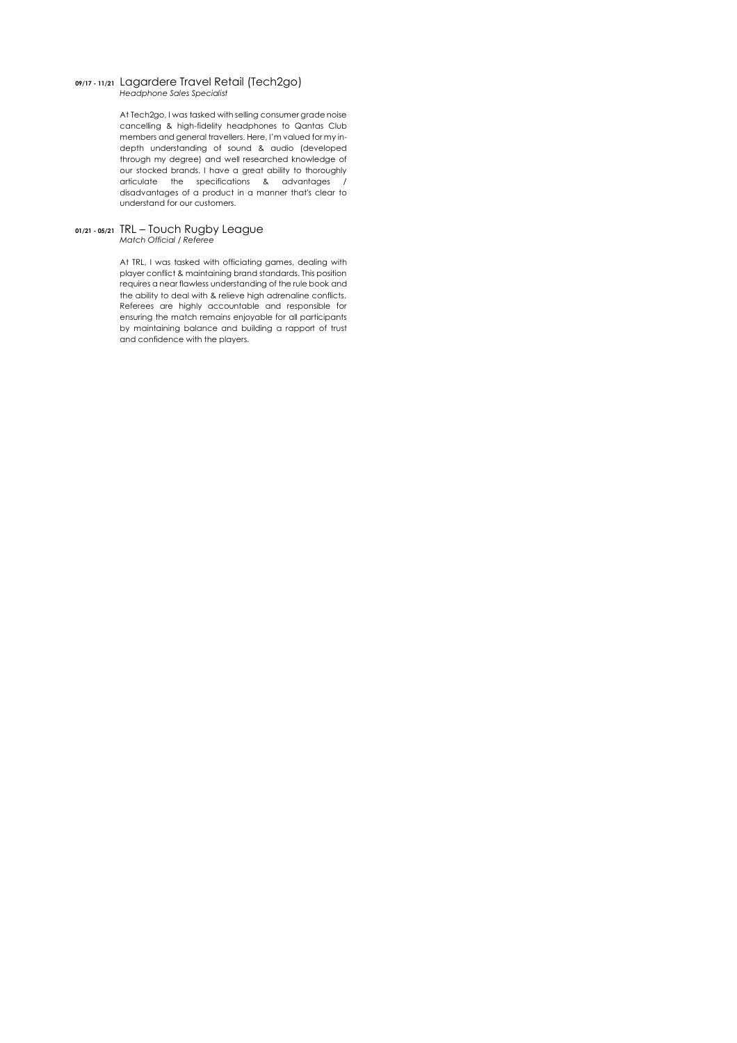#### **09/17 - 11/21** Lagardere Travel Retail (Tech2go) *Headphone Sales Specialist*

At Tech2go, I was tasked with selling consumer grade noise cancelling & high-fidelity headphones to Qantas Club members and general travellers. Here, I'm valued for my indepth understanding of sound & audio (developed through my degree) and well researched knowledge of our stocked brands. I have a great ability to thoroughly articulate the specifications & advantages / disadvantages of a product in a manner that's clear to understand for our customers.

#### **01/21 - 05/21** TRL – Touch Rugby League *Match Official / Referee*

At TRL, I was tasked with officiating games, dealing with player conflict & maintaining brand standards. This position requires a near flawless understanding of the rule book and the ability to deal with & relieve high adrenaline conflicts. Referees are highly accountable and responsible for ensuring the match remains enjoyable for all participants by maintaining balance and building a rapport of trust and confidence with the players.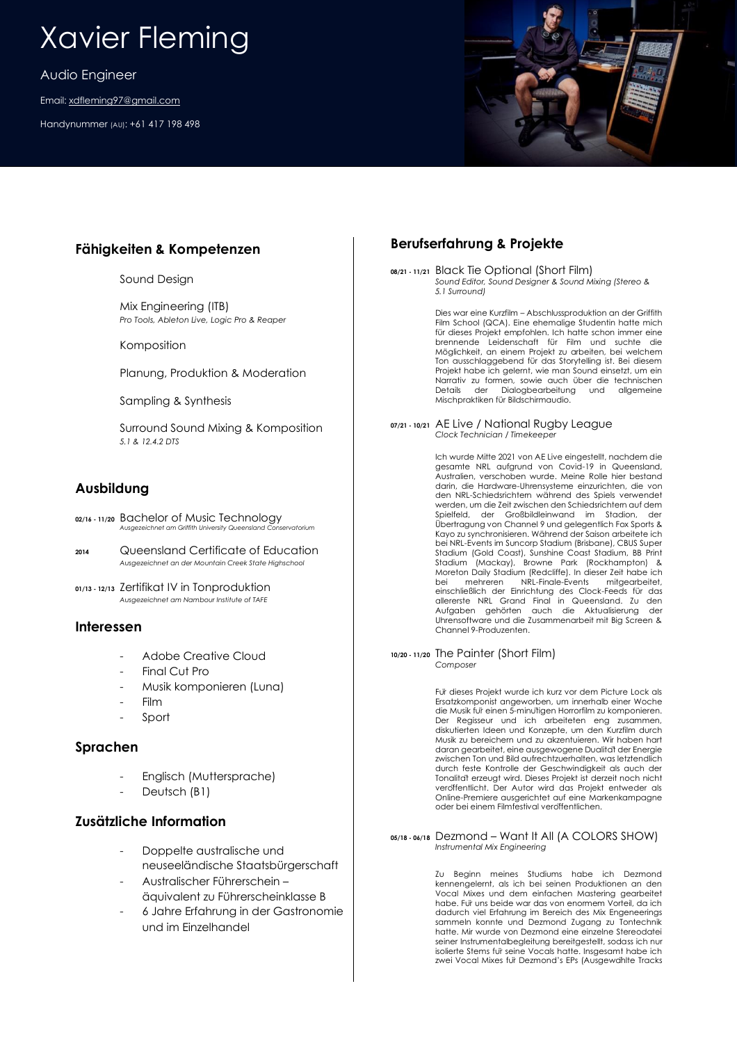# Xavier Fleming

Audio Engineer

Email: [xdfleming97@gmail.com](mailto:xdfleming97@gmail.com)

Handynummer (AU): +61 417 198 498

## **Fähigkeiten & Kompetenzen**

Sound Design

Mix Engineering (ITB) *Pro Tools, Ableton Live, Logic Pro & Reaper*

Komposition

Planung, Produktion & Moderation

Sampling & Synthesis

Surround Sound Mixing & Komposition *5.1 & 12.4.2 DTS*

## **Ausbildung**

- **02/16 - 11/20** Bachelor of Music Technology *Ausgezeichnet am Griffith University Queensland Conservatorium*
- **<sup>2014</sup>** Queensland Certificate of Education *Ausgezeichnet an der Mountain Creek State Highschool*
- **01/13 - 12/13** Zertifikat IV in Tonproduktion *Ausgezeichnet am Nambour Institute of TAFE*

## **Interessen**

- Adobe Creative Cloud
- Final Cut Pro
- Musik komponieren (Luna)
- Film
- Sport

## **Sprachen**

- Englisch (Muttersprache)
- Deutsch (B1)

## **Zusätzliche Information**

- Doppelte australische und neuseeländische Staatsbürgerschaft
- Australischer Führerschein –
- äquivalent zu Führerscheinklasse B - 6 Jahre Erfahrung in der Gastronomie und im Einzelhandel

## **Berufserfahrung & Projekte**

**08/21 - 11/21** Black Tie Optional (Short Film) *Sound Editor, Sound Designer & Sound Mixing (Stereo & 5.1 Surround)*

> Dies war eine Kurzfilm – Abschlussproduktion an der Griffith Film School (QCA). Eine ehemalige Studentin hatte mich für dieses Projekt empfohlen. Ich hatte schon immer eine brennende Leidenschaft für Film und suchte die Möglichkeit, an einem Projekt zu arbeiten, bei welchem Ton ausschlaggebend für das Storytelling ist. Bei diesem Projekt habe ich gelernt, wie man Sound einsetzt, um ein Narrativ zu formen, sowie auch über die technischen Details der Dialogbearbeitung und allgemeine Mischpraktiken für Bildschirmaudio.

**07/21 - 10/21** AE Live / National Rugby League *Clock Technician / Timekeeper*

> Ich wurde Mitte 2021 von AE Live eingestellt, nachdem die gesamte NRL aufgrund von Covid-19 in Queensland, Australien, verschoben wurde. Meine Rolle hier bestand darin, die Hardware-Uhrensysteme einzurichten, die von den NRL-Schiedsrichtern während des Spiels verwendet werden, um die Zeit zwischen den Schiedsrichtern auf dem Spielfeld, der Großbildleinwand im Stadion, der Übertragung von Channel 9 und gelegentlich Fox Sports & Kayo zu synchronisieren. Während der Saison arbeitete ich bei NRL-Events im Suncorp Stadium (Brisbane), CBUS Super Stadium (Gold Coast), Sunshine Coast Stadium, BB Print Stadium (Mackay), Browne Park (Rockhampton) & Moreton Daily Stadium (Redcliffe). In dieser Zeit habe ich bei mehreren NRL-Finale-Events mitgearbeitet, einschließlich der Einrichtung des Clock-Feeds für das allererste NRL Grand Final in Queensland. Zu den Aufgaben gehörten auch die Aktualisierung der Uhrensoftware und die Zusammenarbeit mit Big Screen & Channel 9-Produzenten.

**10/20 - 11/20** The Painter (Short Film) *Composer*

> Für dieses Projekt wurde ich kurz vor dem Picture Lock als Ersatzkomponist angeworben, um innerhalb einer Woche die Musik für einen 5-minütigen Horrorfilm zu komponieren. Der Regisseur und ich arbeiteten eng zusammen, diskutierten Ideen und Konzepte, um den Kurzfilm durch Musik zu bereichern und zu akzentuieren. Wir haben hart daran gearbeitet, eine ausgewogene Dualität der Energie zwischen Ton und Bild aufrechtzuerhalten, was letztendlich durch feste Kontrolle der Geschwindigkeit als auch der Tonalität erzeugt wird. Dieses Projekt ist derzeit noch nicht veröffentlicht. Der Autor wird das Projekt entweder als Online-Premiere ausgerichtet auf eine Markenkampagne oder bei einem Filmfestival veröffentlichen.

#### **05/18 - 06/18** Dezmond – Want It All (A COLORS SHOW) *Instrumental Mix Engineering*

Zu Beginn meines Studiums habe ich Dezmond kennengelernt, als ich bei seinen Produktionen an den Vocal Mixes und dem einfachen Mastering gearbeitet habe. Für uns beide war das von enormem Vorteil, da ich dadurch viel Erfahrung im Bereich des Mix Engeneerings sammeln konnte und Dezmond Zugang zu Tontechnik hatte. Mir wurde von Dezmond eine einzelne Stereodatei seiner Instrumentalbegleitung bereitgestellt, sodass ich nur isolierte Stems für seine Vocals hatte. Insgesamt habe ich zwei Vocal Mixes für Dezmond's EPs (Ausgewählte Tracks